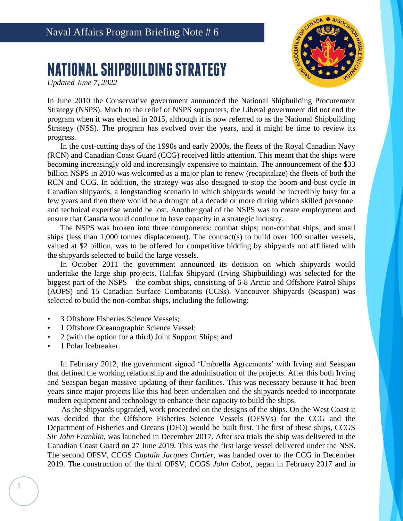

## **NATIONAL SHIPBUILDING STRATEGY**

*Updated June 7, 2022*

In June 2010 the Conservative government announced the National Shipbuilding Procurement Strategy (NSPS). Much to the relief of NSPS supporters, the Liberal government did not end the program when it was elected in 2015, although it is now referred to as the National Shipbuilding Strategy (NSS). The program has evolved over the years, and it might be time to review its progress.

In the cost-cutting days of the 1990s and early 2000s, the fleets of the Royal Canadian Navy (RCN) and Canadian Coast Guard (CCG) received little attention. This meant that the ships were becoming increasingly old and increasingly expensive to maintain. The announcement of the \$33 billion NSPS in 2010 was welcomed as a major plan to renew (recapitalize) the fleets of both the RCN and CCG. In addition, the strategy was also designed to stop the boom-and-bust cycle in Canadian shipyards, a longstanding scenario in which shipyards would be incredibly busy for a few years and then there would be a drought of a decade or more during which skilled personnel and technical expertise would be lost. Another goal of the NSPS was to create employment and ensure that Canada would continue to have capacity in a strategic industry.

The NSPS was broken into three components: combat ships; non-combat ships; and small ships (less than  $1,000$  tonnes displacement). The contract(s) to build over 100 smaller vessels, valued at \$2 billion, was to be offered for competitive bidding by shipyards not affiliated with the shipyards selected to build the large vessels.

In October 2011 the government announced its decision on which shipyards would undertake the large ship projects. Halifax Shipyard (Irving Shipbuilding) was selected for the biggest part of the NSPS – the combat ships, consisting of 6-8 Arctic and Offshore Patrol Ships (AOPS) and 15 Canadian Surface Combatants (CCSs). Vancouver Shipyards (Seaspan) was selected to build the non-combat ships, including the following:

- 3 Offshore Fisheries Science Vessels;
- 1 Offshore Oceanographic Science Vessel;
- 2 (with the option for a third) Joint Support Ships; and
- 1 Polar Icebreaker.

1

In February 2012, the government signed 'Umbrella Agreements' with Irving and Seaspan that defined the working relationship and the administration of the projects. After this both Irving and Seaspan began massive updating of their facilities. This was necessary because it had been years since major projects like this had been undertaken and the shipyards needed to incorporate modern equipment and technology to enhance their capacity to build the ships.

As the shipyards upgraded, work proceeded on the designs of the ships. On the West Coast it was decided that the Offshore Fisheries Science Vessels (OFSVs) for the CCG and the Department of Fisheries and Oceans (DFO) would be built first. The first of these ships, CCGS *Sir John Franklin*, was launched in December 2017. After sea trials the ship was delivered to the Canadian Coast Guard on 27 June 2019. This was the first large vessel delivered under the NSS. The second OFSV, CCGS *Captain Jacques Cartier*, was handed over to the CCG in December 2019. The construction of the third OFSV, CCGS *John Cabot*, began in February 2017 and in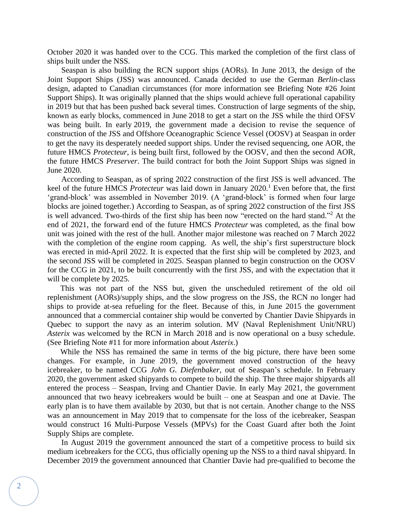October 2020 it was handed over to the CCG. This marked the completion of the first class of ships built under the NSS.

Seaspan is also building the RCN support ships (AORs). In June 2013, the design of the Joint Support Ships (JSS) was announced. Canada decided to use the German *Berlin*-class design, adapted to Canadian circumstances (for more information see Briefing Note #26 Joint Support Ships). It was originally planned that the ships would achieve full operational capability in 2019 but that has been pushed back several times. Construction of large segments of the ship, known as early blocks, commenced in June 2018 to get a start on the JSS while the third OFSV was being built. In early 2019, the government made a decision to revise the sequence of construction of the JSS and Offshore Oceanographic Science Vessel (OOSV) at Seaspan in order to get the navy its desperately needed support ships. Under the revised sequencing, one AOR, the future HMCS *Protecteur*, is being built first, followed by the OOSV, and then the second AOR, the future HMCS *Preserver*. The build contract for both the Joint Support Ships was signed in June 2020.

According to Seaspan, as of spring 2022 construction of the first JSS is well advanced. The keel of the future HMCS *Protecteur* was laid down in January 2020.<sup>1</sup> Even before that, the first 'grand-block' was assembled in November 2019. (A 'grand-block' is formed when four large blocks are joined together.) According to Seaspan, as of spring 2022 construction of the first JSS is well advanced. Two-thirds of the first ship has been now "erected on the hard stand."<sup>2</sup> At the end of 2021, the forward end of the future HMCS *Protecteur* was completed, as the final bow unit was joined with the rest of the hull. Another major milestone was reached on 7 March 2022 with the completion of the engine room capping. As well, the ship's first superstructure block was erected in mid-April 2022. It is expected that the first ship will be completed by 2023, and the second JSS will be completed in 2025. Seaspan planned to begin construction on the OOSV for the CCG in 2021, to be built concurrently with the first JSS, and with the expectation that it will be complete by 2025.

This was not part of the NSS but, given the unscheduled retirement of the old oil replenishment (AORs)/supply ships, and the slow progress on the JSS, the RCN no longer had ships to provide at-sea refueling for the fleet. Because of this, in June 2015 the government announced that a commercial container ship would be converted by Chantier Davie Shipyards in Quebec to support the navy as an interim solution. MV (Naval Replenishment Unit/NRU) *Asterix* was welcomed by the RCN in March 2018 and is now operational on a busy schedule. (See Briefing Note #11 for more information about *Asterix*.)

While the NSS has remained the same in terms of the big picture, there have been some changes. For example, in June 2019, the government moved construction of the heavy icebreaker, to be named CCG *John G. Diefenbaker*, out of Seaspan's schedule. In February 2020, the government asked shipyards to compete to build the ship. The three major shipyards all entered the process – Seaspan, Irving and Chantier Davie. In early May 2021, the government announced that two heavy icebreakers would be built – one at Seaspan and one at Davie. The early plan is to have them available by 2030, but that is not certain. Another change to the NSS was an announcement in May 2019 that to compensate for the loss of the icebreaker, Seaspan would construct 16 Multi-Purpose Vessels (MPVs) for the Coast Guard after both the Joint Supply Ships are complete.

In August 2019 the government announced the start of a competitive process to build six medium icebreakers for the CCG, thus officially opening up the NSS to a third naval shipyard. In December 2019 the government announced that Chantier Davie had pre-qualified to become the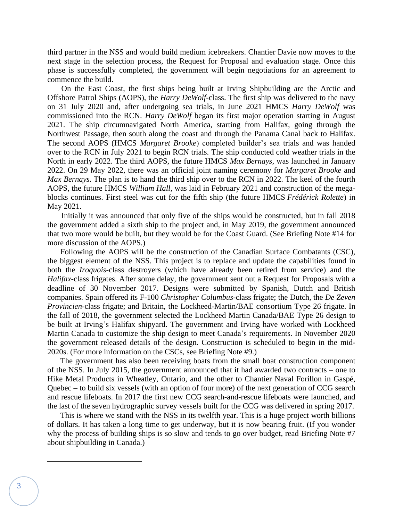third partner in the NSS and would build medium icebreakers. Chantier Davie now moves to the next stage in the selection process, the Request for Proposal and evaluation stage. Once this phase is successfully completed, the government will begin negotiations for an agreement to commence the build.

On the East Coast, the first ships being built at Irving Shipbuilding are the Arctic and Offshore Patrol Ships (AOPS), the *Harry DeWolf*-class. The first ship was delivered to the navy on 31 July 2020 and, after undergoing sea trials, in June 2021 HMCS *Harry DeWolf* was commissioned into the RCN. *Harry DeWolf* began its first major operation starting in August 2021. The ship circumnavigated North America, starting from Halifax, going through the Northwest Passage, then south along the coast and through the Panama Canal back to Halifax. The second AOPS (HMCS *Margaret Brooke*) completed builder's sea trials and was handed over to the RCN in July 2021 to begin RCN trials. The ship conducted cold weather trials in the North in early 2022. The third AOPS, the future HMCS *Max Bernays*, was launched in January 2022. On 29 May 2022, there was an official joint naming ceremony for *Margaret Brooke* and *Max Bernays*. The plan is to hand the third ship over to the RCN in 2022. The keel of the fourth AOPS, the future HMCS *William Hall*, was laid in February 2021 and construction of the megablocks continues. First steel was cut for the fifth ship (the future HMCS *Frédérick Rolette*) in May 2021.

Initially it was announced that only five of the ships would be constructed, but in fall 2018 the government added a sixth ship to the project and, in May 2019, the government announced that two more would be built, but they would be for the Coast Guard. (See Briefing Note #14 for more discussion of the AOPS.)

Following the AOPS will be the construction of the Canadian Surface Combatants (CSC), the biggest element of the NSS. This project is to replace and update the capabilities found in both the *Iroquois*-class destroyers (which have already been retired from service) and the *Halifax*-class frigates. After some delay, the government sent out a Request for Proposals with a deadline of 30 November 2017. Designs were submitted by Spanish, Dutch and British companies. Spain offered its F-100 *Christopher Columbus*-class frigate; the Dutch, the *De Zeven Provincien*-class frigate; and Britain, the Lockheed-Martin/BAE consortium Type 26 frigate. In the fall of 2018, the government selected the Lockheed Martin Canada/BAE Type 26 design to be built at Irving's Halifax shipyard. The government and Irving have worked with Lockheed Martin Canada to customize the ship design to meet Canada's requirements. In November 2020 the government released details of the design. Construction is scheduled to begin in the mid-2020s. (For more information on the CSCs, see Briefing Note #9.)

The government has also been receiving boats from the small boat construction component of the NSS. In July 2015, the government announced that it had awarded two contracts – one to Hike Metal Products in Wheatley, Ontario, and the other to Chantier Naval Forillon in Gaspé, Quebec – to build six vessels (with an option of four more) of the next generation of CCG search and rescue lifeboats. In 2017 the first new CCG search-and-rescue lifeboats were launched, and the last of the seven hydrographic survey vessels built for the CCG was delivered in spring 2017.

This is where we stand with the NSS in its twelfth year. This is a huge project worth billions of dollars. It has taken a long time to get underway, but it is now bearing fruit. (If you wonder why the process of building ships is so slow and tends to go over budget, read Briefing Note #7 about shipbuilding in Canada.)